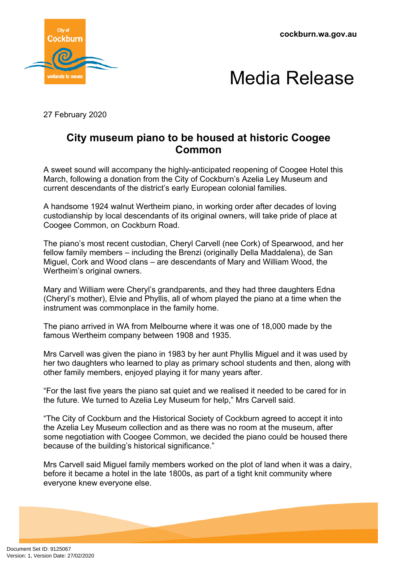**cockburn.wa.gov.au**





27 February 2020

## **City museum piano to be housed at historic Coogee Common**

A sweet sound will accompany the highly-anticipated reopening of Coogee Hotel this March, following a donation from the City of Cockburn's Azelia Ley Museum and current descendants of the district's early European colonial families.

A handsome 1924 walnut Wertheim piano, in working order after decades of loving custodianship by local descendants of its original owners, will take pride of place at Coogee Common, on Cockburn Road.

The piano's most recent custodian, Cheryl Carvell (nee Cork) of Spearwood, and her fellow family members – including the Brenzi (originally Della Maddalena), de San Miguel, Cork and Wood clans – are descendants of Mary and William Wood, the Wertheim's original owners.

Mary and William were Cheryl's grandparents, and they had three daughters Edna (Cheryl's mother), Elvie and Phyllis, all of whom played the piano at a time when the instrument was commonplace in the family home.

The piano arrived in WA from Melbourne where it was one of 18,000 made by the famous Wertheim company between 1908 and 1935.

Mrs Carvell was given the piano in 1983 by her aunt Phyllis Miguel and it was used by her two daughters who learned to play as primary school students and then, along with other family members, enjoyed playing it for many years after.

"For the last five years the piano sat quiet and we realised it needed to be cared for in the future. We turned to Azelia Ley Museum for help," Mrs Carvell said.

"The City of Cockburn and the Historical Society of Cockburn agreed to accept it into the Azelia Ley Museum collection and as there was no room at the museum, after some negotiation with Coogee Common, we decided the piano could be housed there because of the building's historical significance."

Mrs Carvell said Miguel family members worked on the plot of land when it was a dairy, before it became a hotel in the late 1800s, as part of a tight knit community where everyone knew everyone else.

Document Set ID: 9125067<br>Version: 1, Version Date: 27/02/2020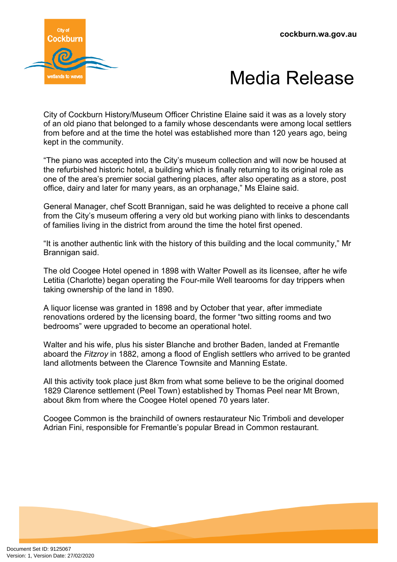



City of Cockburn History/Museum Officer Christine Elaine said it was as a lovely story of an old piano that belonged to a family whose descendants were among local settlers from before and at the time the hotel was established more than 120 years ago, being kept in the community.

"The piano was accepted into the City's museum collection and will now be housed at the refurbished historic hotel, a building which is finally returning to its original role as one of the area's premier social gathering places, after also operating as a store, post office, dairy and later for many years, as an orphanage," Ms Elaine said.

General Manager, chef Scott Brannigan, said he was delighted to receive a phone call from the City's museum offering a very old but working piano with links to descendants of families living in the district from around the time the hotel first opened.

"It is another authentic link with the history of this building and the local community," Mr Brannigan said.

The old Coogee Hotel opened in 1898 with Walter Powell as its licensee, after he wife Letitia (Charlotte) began operating the Four-mile Well tearooms for day trippers when taking ownership of the land in 1890.

A liquor license was granted in 1898 and by October that year, after immediate renovations ordered by the licensing board, the former "two sitting rooms and two bedrooms" were upgraded to become an operational hotel.

Walter and his wife, plus his sister Blanche and brother Baden, landed at Fremantle aboard the *Fitzroy* in 1882, among a flood of English settlers who arrived to be granted land allotments between the Clarence Townsite and Manning Estate.

All this activity took place just 8km from what some believe to be the original doomed 1829 Clarence settlement (Peel Town) established by Thomas Peel near Mt Brown, about 8km from where the Coogee Hotel opened 70 years later.

Coogee Common is the brainchild of owners restaurateur Nic Trimboli and developer Adrian Fini, responsible for Fremantle's popular Bread in Common restaurant.